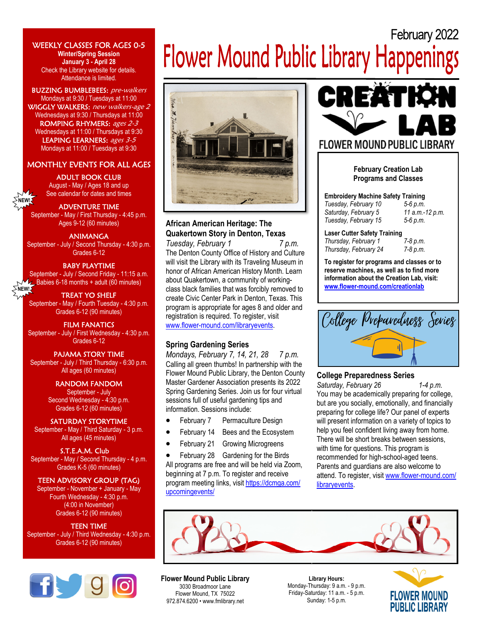#### WEEKLY CLASSES FOR AGES 0-5 **Winter/Spring Session January 3 - April 28**  Check the Library website for details. Attendance is limited.

BUZZING BUMBLEBEES: pre-walkers Mondays at 9:30 / Tuesdays at 11:00 WIGGLY WALKERS: new walkers-age 2 Wednesdays at 9:30 / Thursdays at 11:00 ROMPING RHYMERS: ages 2-3 Wednesdays at 11:00 / Thursdays at 9:30 LEAPING LEARNERS: ages 3-5 Mondays at 11:00 / Tuesdays at 9:30

# MONTHLY EVENTS FOR ALL AGES

#### ADULT BOOK CLUB

August - May / Ages 18 and up See calendar for dates and times

#### ADVENTURE TIME

**NEW!** 

September - May / First Thursday - 4:45 p.m. Ages 9-12 (60 minutes)

#### ANIMANGA

September - July / Second Thursday - 4:30 p.m. Grades 6-12

#### BABY PLAYTIME

September - July / Second Friday - 11:15 a.m. Babies 6-18 months + adult (60 minutes) **NEW!** 

TREAT YO SHELF September - May / Fourth Tuesday - 4:30 p.m. Grades 6-12 (90 minutes)

FILM FANATICS September - July / First Wednesday - 4:30 p.m. Grades 6-12

#### PAJAMA STORY TIME

September - July / Third Thursday - 6:30 p.m. All ages (60 minutes)

> RANDOM FANDOM September - July Second Wednesday - 4:30 p.m. Grades 6-12 (60 minutes)

#### SATURDAY STORYTIME

September - May / Third Saturday - 3 p.m. All ages (45 minutes)

S.T.E.A.M. Club September - May / Second Thursday - 4 p.m. Grades K-5 (60 minutes)

### TEEN ADVISORY GROUP (TAG)

September - November + January - May Fourth Wednesday - 4:30 p.m. (4:00 in November) Grades 6-12 (90 minutes)

# TEEN TIME

September - July / Third Wednesday - 4:30 p.m. Grades 6-12 (90 minutes)



# February 2022 **Flower Mound Public Library Happenings**



# **African American Heritage: The Quakertown Story in Denton, Texas**

*Tuesday, February 1 7 p.m.*  The Denton County Office of History and Culture will visit the Library with its Traveling Museum in honor of African American History Month. Learn about Quakertown, a community of workingclass black families that was forcibly removed to create Civic Center Park in Denton, Texas. This program is appropriate for ages 8 and older and registration is required. To register, visit www.flower-mound.com/libraryevents.

# **Spring Gardening Series**

*Mondays, February 7, 14, 21, 28 7 p.m.* Calling all green thumbs! In partnership with the Flower Mound Public Library, the Denton County Master Gardener Association presents its 2022 Spring Gardening Series. Join us for four virtual sessions full of useful gardening tips and information. Sessions include:

- February 7 Permaculture Design
- February 14 Bees and the Ecosystem
- February 21 Growing Microgreens

• February 28 Gardening for the Birds All programs are free and will be held via Zoom, beginning at 7 p.m. To register and receive program meeting links, visit https://dcmga.com/ upcomingevents/



# **February Creation Lab Programs and Classes**

**Embroidery Machine Safety Training**  *Tuesday, February 10 5-6 p.m.*  Saturday, February 5 *Tuesday, February 15 5-6 p.m.*

#### Laser Cutter Safety Training<br>Thursday. February 1 7-8 p.m. *Thursday, February 1*

*Thursday, February 24 7-8 p.m.*

**To register for programs and classes or to reserve machines, as well as to find more information about the Creation Lab, visit:** 

**www.flower-mound.com/creationlab**



# **College Preparedness Series**

*Saturday, February 26 1-4 p.m.*  You may be academically preparing for college, but are you socially, emotionally, and financially preparing for college life? Our panel of experts will present information on a variety of topics to help you feel confident living away from home. There will be short breaks between sessions, with time for questions. This program is recommended for high-school-aged teens. Parents and guardians are also welcome to attend. To register, visit www.flower-mound.com/ libraryevents.



# **Flower Mound Public Library**

3030 Broadmoor Lane Flower Mound, TX 75022 972.874.6200 • www.fmlibrary.net

**Library Hours:**  Monday-Thursday: 9 a.m. - 9 p.m. Friday-Saturday: 11 a.m. - 5 p.m. Sunday: 1-5 p.m.